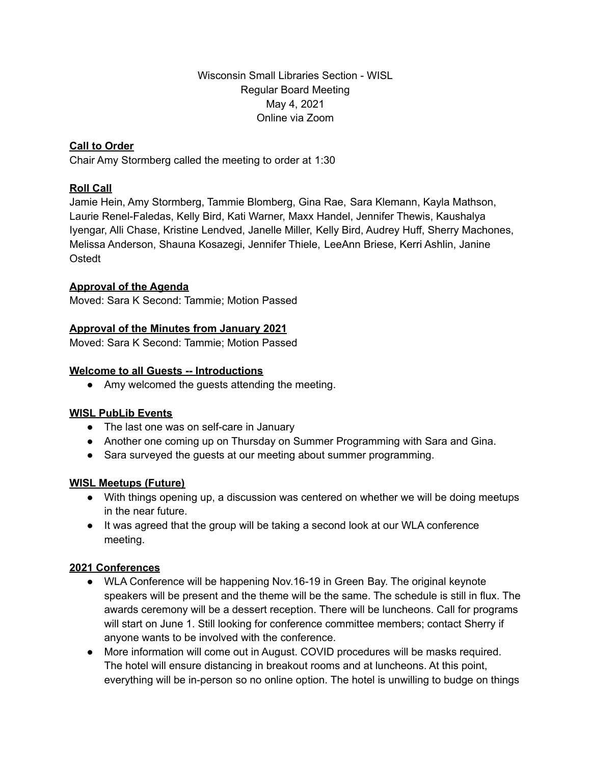Wisconsin Small Libraries Section - WISL Regular Board Meeting May 4, 2021 Online via Zoom

# **Call to Order**

Chair Amy Stormberg called the meeting to order at 1:30

### **Roll Call**

Jamie Hein, Amy Stormberg, Tammie Blomberg, Gina Rae, Sara Klemann, Kayla Mathson, Laurie Renel-Faledas, Kelly Bird, Kati Warner, Maxx Handel, Jennifer Thewis, Kaushalya Iyengar, Alli Chase, Kristine Lendved, Janelle Miller, Kelly Bird, Audrey Huff, Sherry Machones, Melissa Anderson, Shauna Kosazegi, Jennifer Thiele, LeeAnn Briese, Kerri Ashlin, Janine Ostedt

### **Approval of the Agenda**

Moved: Sara K Second: Tammie; Motion Passed

### **Approval of the Minutes from January 2021**

Moved: Sara K Second: Tammie; Motion Passed

### **Welcome to all Guests -- Introductions**

• Amy welcomed the quests attending the meeting.

### **WISL PubLib Events**

- The last one was on self-care in January
- Another one coming up on Thursday on Summer Programming with Sara and Gina.
- Sara surveyed the guests at our meeting about summer programming.

### **WISL Meetups (Future)**

- With things opening up, a discussion was centered on whether we will be doing meetups in the near future.
- It was agreed that the group will be taking a second look at our WLA conference meeting.

# **2021 Conferences**

- WLA Conference will be happening Nov.16-19 in Green Bay. The original keynote speakers will be present and the theme will be the same. The schedule is still in flux. The awards ceremony will be a dessert reception. There will be luncheons. Call for programs will start on June 1. Still looking for conference committee members; contact Sherry if anyone wants to be involved with the conference.
- More information will come out in August. COVID procedures will be masks required. The hotel will ensure distancing in breakout rooms and at luncheons. At this point, everything will be in-person so no online option. The hotel is unwilling to budge on things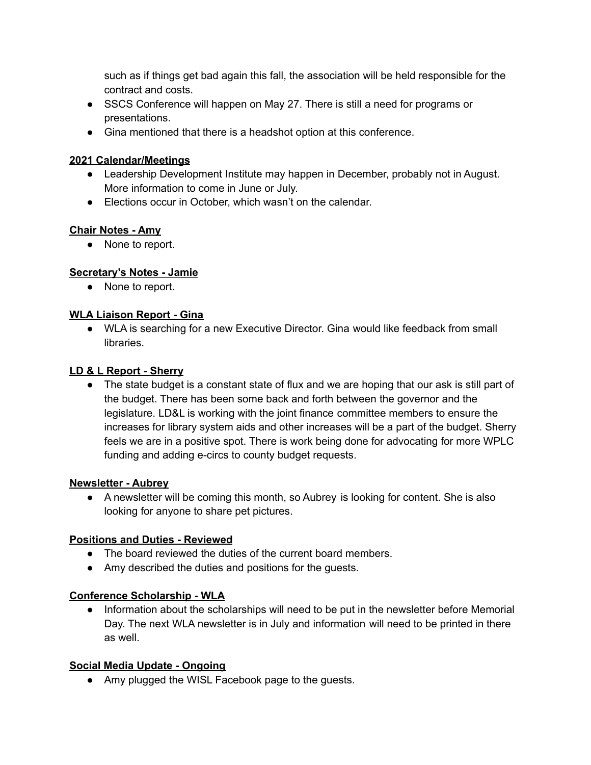such as if things get bad again this fall, the association will be held responsible for the contract and costs.

- SSCS Conference will happen on May 27. There is still a need for programs or presentations.
- Gina mentioned that there is a headshot option at this conference.

## **2021 Calendar/Meetings**

- Leadership Development Institute may happen in December, probably not in August. More information to come in June or July.
- Elections occur in October, which wasn't on the calendar.

# **Chair Notes - Amy**

● None to report.

# **Secretary's Notes - Jamie**

● None to report.

# **WLA Liaison Report - Gina**

● WLA is searching for a new Executive Director. Gina would like feedback from small libraries.

# **LD & L Report - Sherry**

• The state budget is a constant state of flux and we are hoping that our ask is still part of the budget. There has been some back and forth between the governor and the legislature. LD&L is working with the joint finance committee members to ensure the increases for library system aids and other increases will be a part of the budget. Sherry feels we are in a positive spot. There is work being done for advocating for more WPLC funding and adding e-circs to county budget requests.

# **Newsletter - Aubrey**

● A newsletter will be coming this month, so Aubrey is looking for content. She is also looking for anyone to share pet pictures.

# **Positions and Duties - Reviewed**

- The board reviewed the duties of the current board members.
- Amy described the duties and positions for the guests.

# **Conference Scholarship - WLA**

● Information about the scholarships will need to be put in the newsletter before Memorial Day. The next WLA newsletter is in July and information will need to be printed in there as well.

# **Social Media Update - Ongoing**

● Amy plugged the WISL Facebook page to the guests.